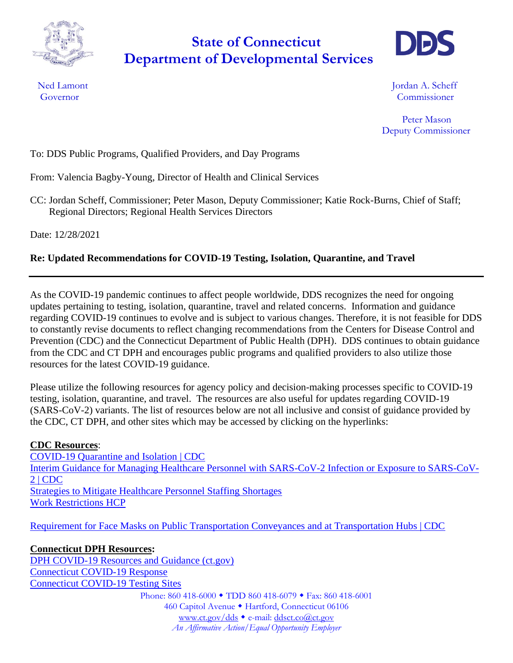

# **Department of Developmental Services State of Connecticut**



Ned Lamont **International Contract Contract Contract Contract Contract Contract Contract Contract Contract Contract Contract Contract Contract Contract Contract Contract Contract Contract Contract Contract Contract Contrac** Governor Commissioner

> Peter Mason Deputy Commissioner

To: DDS Public Programs, Qualified Providers, and Day Programs

From: Valencia Bagby-Young, Director of Health and Clinical Services

CC: Jordan Scheff, Commissioner; Peter Mason, Deputy Commissioner; Katie Rock-Burns, Chief of Staff; Regional Directors; Regional Health Services Directors

Date: 12/28/2021

## **Re: Updated Recommendations for COVID-19 Testing, Isolation, Quarantine, and Travel**

As the COVID-19 pandemic continues to affect people worldwide, DDS recognizes the need for ongoing updates pertaining to testing, isolation, quarantine, travel and related concerns. Information and guidance regarding COVID-19 continues to evolve and is subject to various changes. Therefore, it is not feasible for DDS to constantly revise documents to reflect changing recommendations from the Centers for Disease Control and Prevention (CDC) and the Connecticut Department of Public Health (DPH). DDS continues to obtain guidance from the CDC and CT DPH and encourages public programs and qualified providers to also utilize those resources for the latest COVID-19 guidance.

Please utilize the following resources for agency policy and decision-making processes specific to COVID-19 testing, isolation, quarantine, and travel. The resources are also useful for updates regarding COVID-19 (SARS-CoV-2) variants. The list of resources below are not all inclusive and consist of guidance provided by the CDC, CT DPH, and other sites which may be accessed by clicking on the hyperlinks:

### **CDC Resources**:

[COVID-19 Quarantine and Isolation | CDC](https://www.cdc.gov/coronavirus/2019-ncov/your-health/quarantine-isolation.html) [Interim Guidance for Managing Healthcare Personnel with SARS-CoV-2 Infection or Exposure to SARS-CoV-](https://www.cdc.gov/coronavirus/2019-ncov/hcp/guidance-risk-assesment-hcp.html)[2 | CDC](https://www.cdc.gov/coronavirus/2019-ncov/hcp/guidance-risk-assesment-hcp.html) [Strategies to Mitigate Healthcare Personnel Staffing Shortages](file://///exec/dds/DDS-User00$/BagbyYoungV/My%20Documents/Coronavirus%20-%20COVID-19/Strategies%20to%20Mitigate%20Healthcare%20Personnel%20Staffing%20Shortages%20)  [Work Restrictions HCP](https://www.cdc.gov/coronavirus/2019-ncov/images/hcp/WorkRestrictionsHCP.jpg)

[Requirement for Face Masks on Public Transportation Conveyances and at Transportation Hubs | CDC](https://www.cdc.gov/coronavirus/2019-ncov/travelers/face-masks-public-transportation.html)

### **Connecticut DPH Resources:**

[DPH COVID-19 Resources and Guidance \(ct.gov\)](https://portal.ct.gov/DPH/Public-Health-Preparedness/Main-Page/DPH-COVID19-Resources-and-Guidance) [Connecticut COVID-19 Response](https://portal.ct.gov/Coronavirus) [Connecticut COVID-19 Testing Sites](https://portal.ct.gov/Coronavirus/TestingSiteListings)

Phone: 860 418-6000 ◆ TDD 860 418-6079 ◆ Fax: 860 418-6001 460 Capitol Avenue · Hartford, Connecticut 06106 [www.ct.gov/dds](http://www.ct.gov/dds) • e-mail: [ddsct.co@ct.gov](mailto:ddsct.co@ct.gov) *An Affirmative Action/Equal Opportunity Employer*